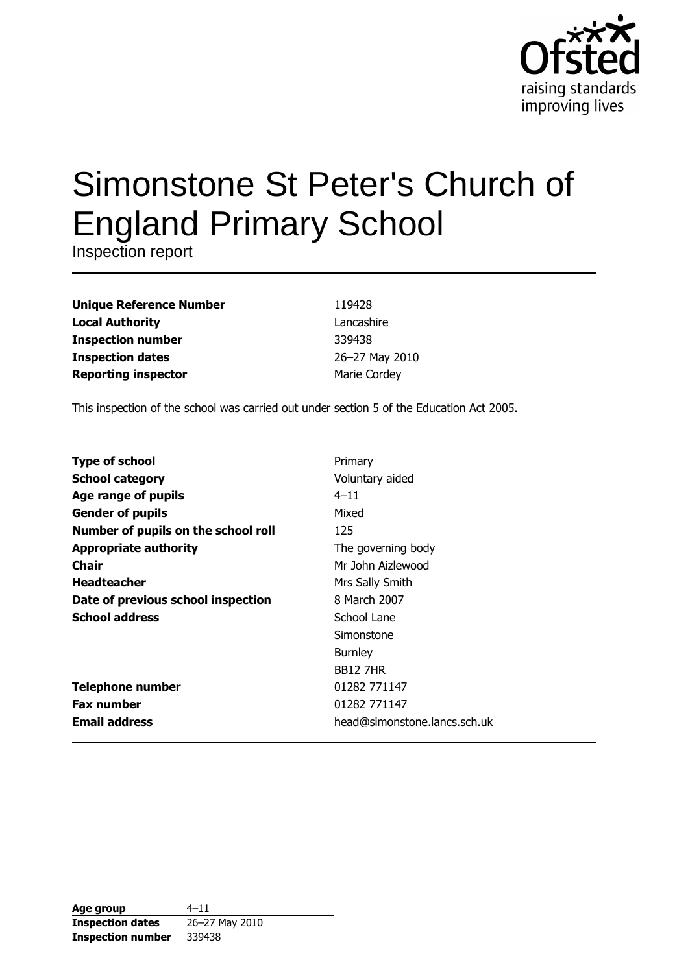

# Simonstone St Peter's Church of **England Primary School**

Inspection report

| <b>Unique Reference Number</b> |
|--------------------------------|
| <b>Local Authority</b>         |
| <b>Inspection number</b>       |
| <b>Inspection dates</b>        |
| <b>Reporting inspector</b>     |

119428 Lancashire 339438 26-27 May 2010 Marie Cordey

This inspection of the school was carried out under section 5 of the Education Act 2005.

| <b>Type of school</b>               | Primary                      |
|-------------------------------------|------------------------------|
| <b>School category</b>              | Voluntary aided              |
| Age range of pupils                 | $4 - 11$                     |
| <b>Gender of pupils</b>             | Mixed                        |
| Number of pupils on the school roll | 125                          |
| <b>Appropriate authority</b>        | The governing body           |
| Chair                               | Mr John Aizlewood            |
| <b>Headteacher</b>                  | Mrs Sally Smith              |
| Date of previous school inspection  | 8 March 2007                 |
| <b>School address</b>               | School Lane                  |
|                                     | Simonstone                   |
|                                     | <b>Burnley</b>               |
|                                     | <b>BB12 7HR</b>              |
| <b>Telephone number</b>             | 01282 771147                 |
| <b>Fax number</b>                   | 01282 771147                 |
| <b>Email address</b>                | head@simonstone.lancs.sch.uk |

| Age group                | $4 - 11$       |
|--------------------------|----------------|
| <b>Inspection dates</b>  | 26-27 May 2010 |
| <b>Inspection number</b> | 339438         |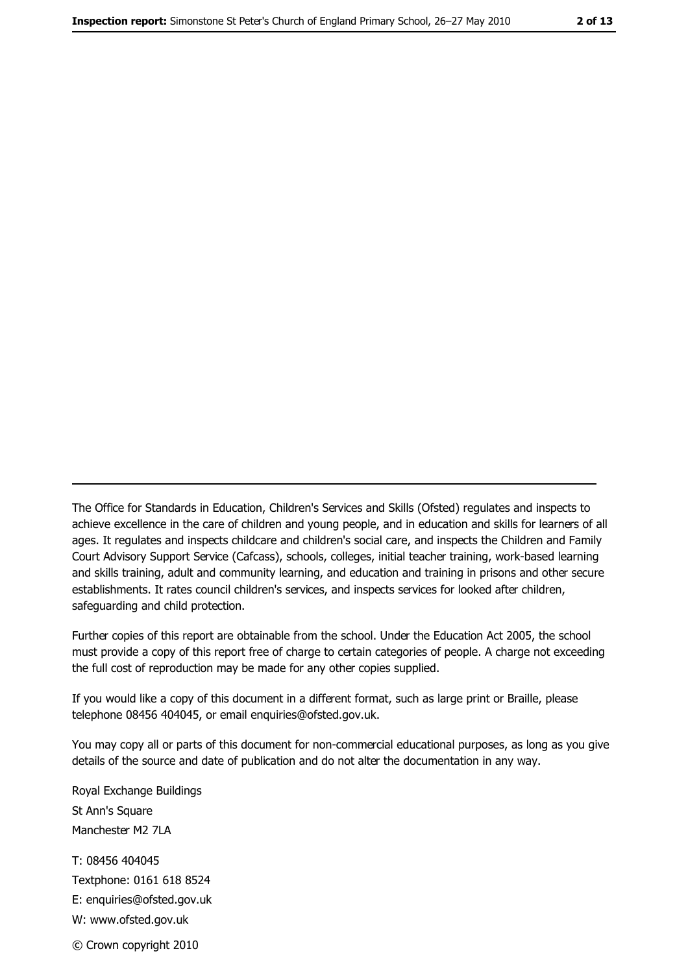The Office for Standards in Education, Children's Services and Skills (Ofsted) regulates and inspects to achieve excellence in the care of children and young people, and in education and skills for learners of all ages. It regulates and inspects childcare and children's social care, and inspects the Children and Family Court Advisory Support Service (Cafcass), schools, colleges, initial teacher training, work-based learning and skills training, adult and community learning, and education and training in prisons and other secure establishments. It rates council children's services, and inspects services for looked after children, safequarding and child protection.

Further copies of this report are obtainable from the school. Under the Education Act 2005, the school must provide a copy of this report free of charge to certain categories of people. A charge not exceeding the full cost of reproduction may be made for any other copies supplied.

If you would like a copy of this document in a different format, such as large print or Braille, please telephone 08456 404045, or email enquiries@ofsted.gov.uk.

You may copy all or parts of this document for non-commercial educational purposes, as long as you give details of the source and date of publication and do not alter the documentation in any way.

Royal Exchange Buildings St Ann's Square Manchester M2 7LA T: 08456 404045 Textphone: 0161 618 8524 E: enquiries@ofsted.gov.uk W: www.ofsted.gov.uk © Crown copyright 2010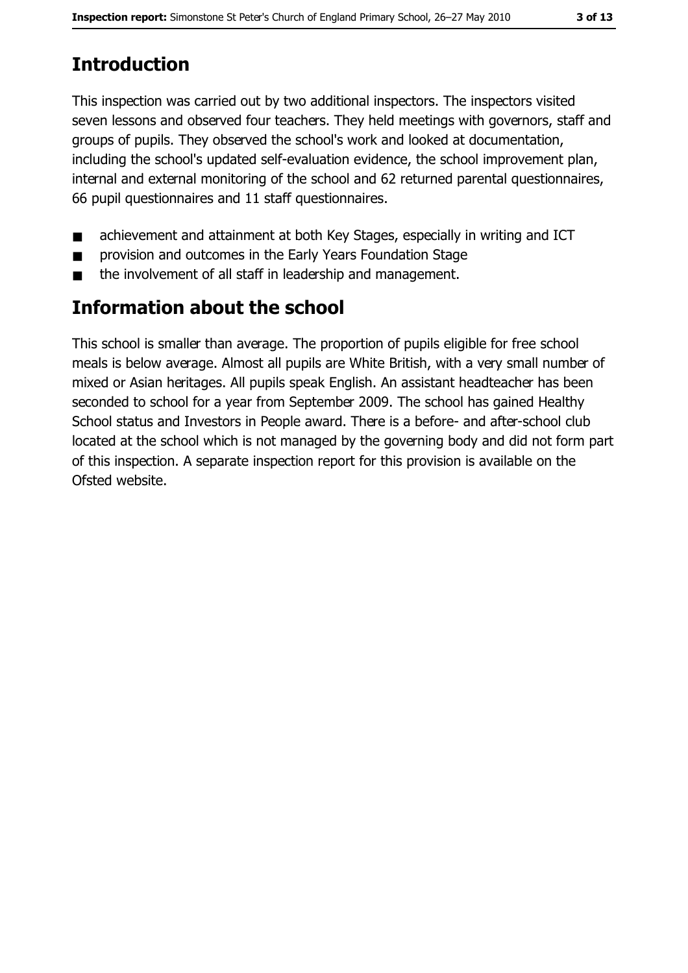# **Introduction**

This inspection was carried out by two additional inspectors. The inspectors visited seven lessons and observed four teachers. They held meetings with governors, staff and groups of pupils. They observed the school's work and looked at documentation, including the school's updated self-evaluation evidence, the school improvement plan, internal and external monitoring of the school and 62 returned parental questionnaires, 66 pupil questionnaires and 11 staff questionnaires.

- achievement and attainment at both Key Stages, especially in writing and ICT  $\blacksquare$
- provision and outcomes in the Early Years Foundation Stage  $\blacksquare$
- the involvement of all staff in leadership and management.  $\blacksquare$

## **Information about the school**

This school is smaller than average. The proportion of pupils eligible for free school meals is below average. Almost all pupils are White British, with a very small number of mixed or Asian heritages. All pupils speak English. An assistant headteacher has been seconded to school for a year from September 2009. The school has gained Healthy School status and Investors in People award. There is a before- and after-school club located at the school which is not managed by the governing body and did not form part of this inspection. A separate inspection report for this provision is available on the Ofsted website.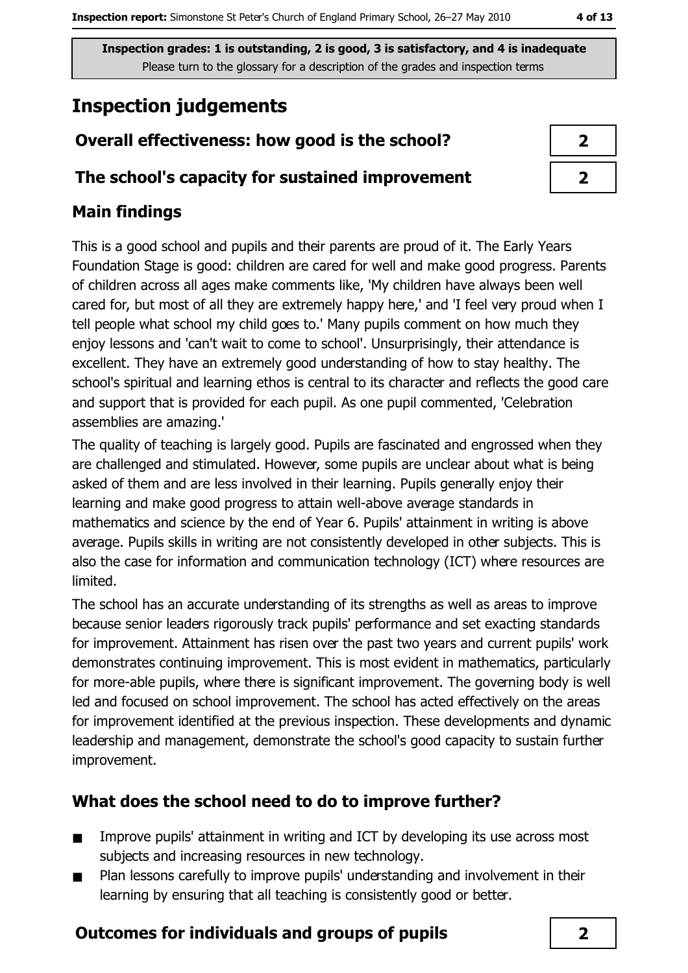# **Inspection judgements**

## Overall effectiveness: how good is the school?

#### The school's capacity for sustained improvement

#### **Main findings**

This is a good school and pupils and their parents are proud of it. The Early Years Foundation Stage is good: children are cared for well and make good progress. Parents of children across all ages make comments like, 'My children have always been well cared for, but most of all they are extremely happy here,' and 'I feel very proud when I tell people what school my child goes to.' Many pupils comment on how much they enjoy lessons and 'can't wait to come to school'. Unsurprisingly, their attendance is excellent. They have an extremely good understanding of how to stay healthy. The school's spiritual and learning ethos is central to its character and reflects the good care and support that is provided for each pupil. As one pupil commented, 'Celebration assemblies are amazing.'

The quality of teaching is largely good. Pupils are fascinated and engrossed when they are challenged and stimulated. However, some pupils are unclear about what is being asked of them and are less involved in their learning. Pupils generally enjoy their learning and make good progress to attain well-above average standards in mathematics and science by the end of Year 6. Pupils' attainment in writing is above average. Pupils skills in writing are not consistently developed in other subjects. This is also the case for information and communication technology (ICT) where resources are limited.

The school has an accurate understanding of its strengths as well as areas to improve because senior leaders rigorously track pupils' performance and set exacting standards for improvement. Attainment has risen over the past two years and current pupils' work demonstrates continuing improvement. This is most evident in mathematics, particularly for more-able pupils, where there is significant improvement. The governing body is well led and focused on school improvement. The school has acted effectively on the areas for improvement identified at the previous inspection. These developments and dynamic leadership and management, demonstrate the school's good capacity to sustain further improvement.

## What does the school need to do to improve further?

- Improve pupils' attainment in writing and ICT by developing its use across most  $\blacksquare$ subjects and increasing resources in new technology.
- Plan lessons carefully to improve pupils' understanding and involvement in their  $\blacksquare$ learning by ensuring that all teaching is consistently good or better.

## **Outcomes for individuals and groups of pupils**

| ∕ |
|---|
|   |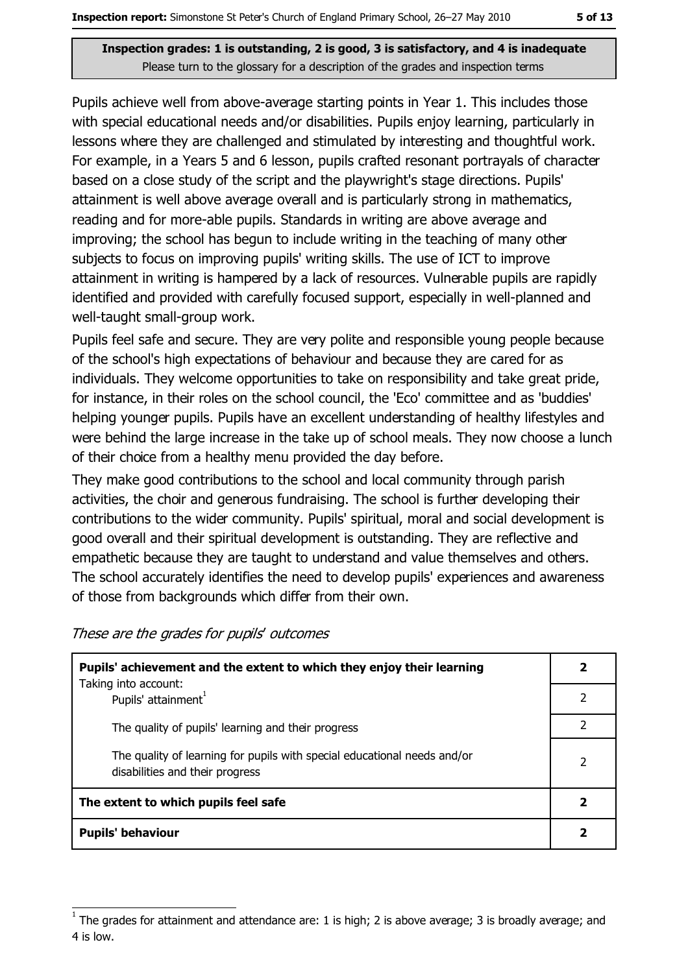Pupils achieve well from above-average starting points in Year 1. This includes those with special educational needs and/or disabilities. Pupils enjoy learning, particularly in lessons where they are challenged and stimulated by interesting and thoughtful work. For example, in a Years 5 and 6 lesson, pupils crafted resonant portrayals of character based on a close study of the script and the playwright's stage directions. Pupils' attainment is well above average overall and is particularly strong in mathematics, reading and for more-able pupils. Standards in writing are above average and improving; the school has begun to include writing in the teaching of many other subjects to focus on improving pupils' writing skills. The use of ICT to improve attainment in writing is hampered by a lack of resources. Vulnerable pupils are rapidly identified and provided with carefully focused support, especially in well-planned and well-taught small-group work.

Pupils feel safe and secure. They are very polite and responsible young people because of the school's high expectations of behaviour and because they are cared for as individuals. They welcome opportunities to take on responsibility and take great pride, for instance, in their roles on the school council, the 'Eco' committee and as 'buddies' helping younger pupils. Pupils have an excellent understanding of healthy lifestyles and were behind the large increase in the take up of school meals. They now choose a lunch of their choice from a healthy menu provided the day before.

They make good contributions to the school and local community through parish activities, the choir and generous fundraising. The school is further developing their contributions to the wider community. Pupils' spiritual, moral and social development is good overall and their spiritual development is outstanding. They are reflective and empathetic because they are taught to understand and value themselves and others. The school accurately identifies the need to develop pupils' experiences and awareness of those from backgrounds which differ from their own.

| Pupils' achievement and the extent to which they enjoy their learning                                       |   |
|-------------------------------------------------------------------------------------------------------------|---|
| Taking into account:<br>Pupils' attainment <sup>1</sup>                                                     |   |
| The quality of pupils' learning and their progress                                                          | 2 |
| The quality of learning for pupils with special educational needs and/or<br>disabilities and their progress |   |
| The extent to which pupils feel safe                                                                        |   |
| <b>Pupils' behaviour</b>                                                                                    |   |

These are the grades for pupils' outcomes

The grades for attainment and attendance are: 1 is high; 2 is above average; 3 is broadly average; and 4 is low.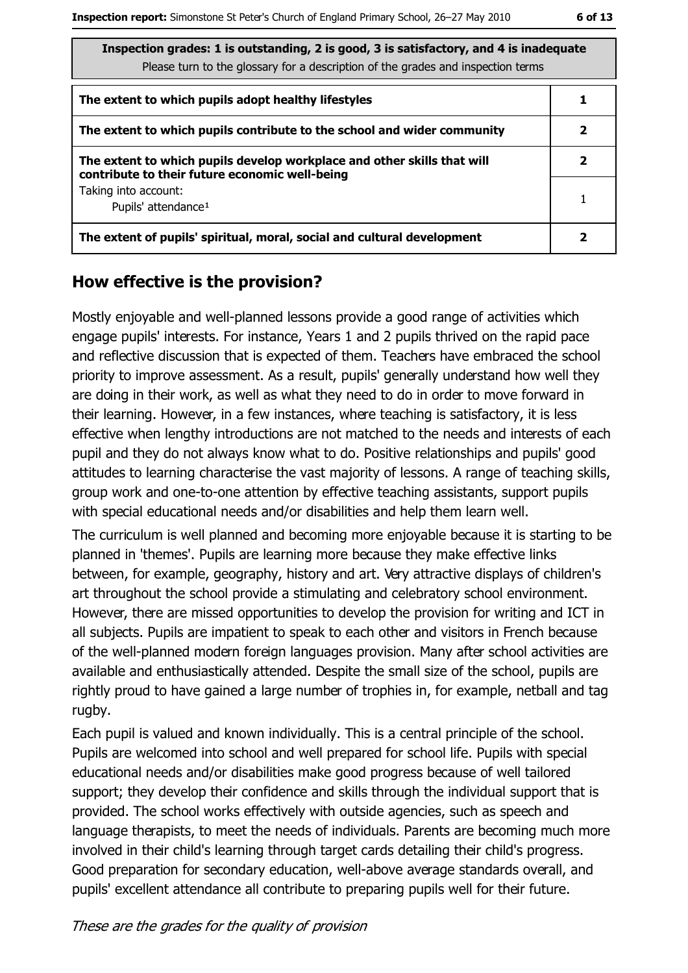| Inspection grades: 1 is outstanding, 2 is good, 3 is satisfactory, and 4 is inadequate<br>Please turn to the glossary for a description of the grades and inspection terms |   |
|----------------------------------------------------------------------------------------------------------------------------------------------------------------------------|---|
| The extent to which pupils adopt healthy lifestyles                                                                                                                        |   |
| The extent to which pupils contribute to the school and wider community                                                                                                    | 2 |
| The extent to which pupils develop workplace and other skills that will<br>contribute to their future economic well-being                                                  | 2 |
| Taking into account:<br>Pupils' attendance <sup>1</sup>                                                                                                                    |   |
| The extent of pupils' spiritual, moral, social and cultural development                                                                                                    |   |

#### How effective is the provision?

Mostly enjoyable and well-planned lessons provide a good range of activities which engage pupils' interests. For instance, Years 1 and 2 pupils thrived on the rapid pace and reflective discussion that is expected of them. Teachers have embraced the school priority to improve assessment. As a result, pupils' generally understand how well they are doing in their work, as well as what they need to do in order to move forward in their learning. However, in a few instances, where teaching is satisfactory, it is less effective when lengthy introductions are not matched to the needs and interests of each pupil and they do not always know what to do. Positive relationships and pupils' good attitudes to learning characterise the vast majority of lessons. A range of teaching skills, group work and one-to-one attention by effective teaching assistants, support pupils with special educational needs and/or disabilities and help them learn well.

The curriculum is well planned and becoming more enjoyable because it is starting to be planned in 'themes'. Pupils are learning more because they make effective links between, for example, geography, history and art. Very attractive displays of children's art throughout the school provide a stimulating and celebratory school environment. However, there are missed opportunities to develop the provision for writing and ICT in all subjects. Pupils are impatient to speak to each other and visitors in French because of the well-planned modern foreign languages provision. Many after school activities are available and enthusiastically attended. Despite the small size of the school, pupils are rightly proud to have gained a large number of trophies in, for example, netball and tag rugby.

Each pupil is valued and known individually. This is a central principle of the school. Pupils are welcomed into school and well prepared for school life. Pupils with special educational needs and/or disabilities make good progress because of well tailored support; they develop their confidence and skills through the individual support that is provided. The school works effectively with outside agencies, such as speech and language therapists, to meet the needs of individuals. Parents are becoming much more involved in their child's learning through target cards detailing their child's progress. Good preparation for secondary education, well-above average standards overall, and pupils' excellent attendance all contribute to preparing pupils well for their future.

These are the grades for the quality of provision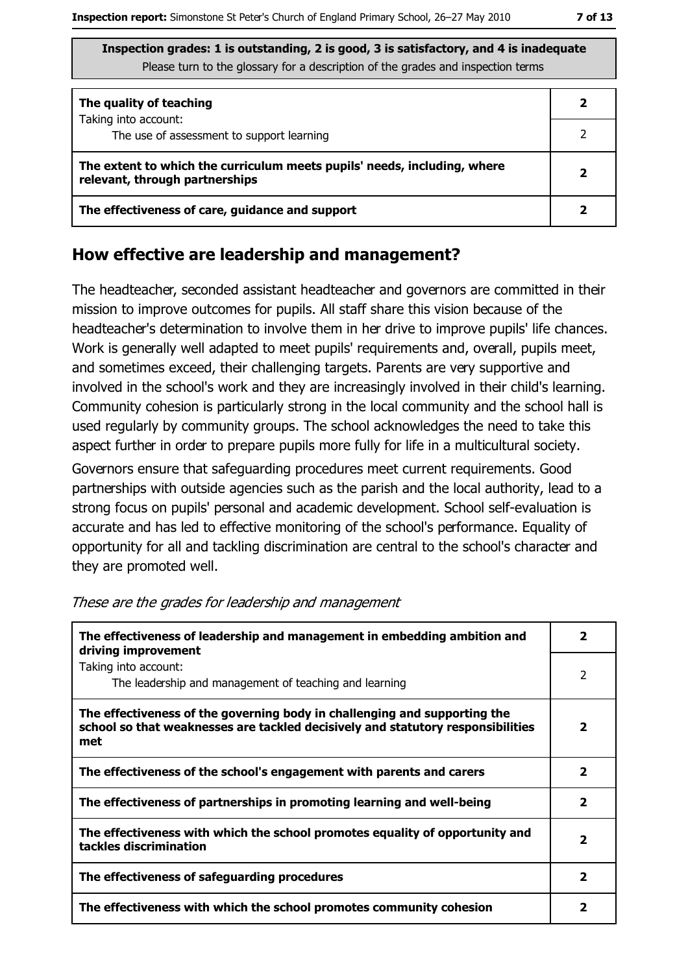| The quality of teaching                                                                                    |  |
|------------------------------------------------------------------------------------------------------------|--|
| Taking into account:<br>The use of assessment to support learning                                          |  |
| The extent to which the curriculum meets pupils' needs, including, where<br>relevant, through partnerships |  |
| The effectiveness of care, guidance and support                                                            |  |

#### How effective are leadership and management?

The headteacher, seconded assistant headteacher and governors are committed in their mission to improve outcomes for pupils. All staff share this vision because of the headteacher's determination to involve them in her drive to improve pupils' life chances. Work is generally well adapted to meet pupils' requirements and, overall, pupils meet, and sometimes exceed, their challenging targets. Parents are very supportive and involved in the school's work and they are increasingly involved in their child's learning. Community cohesion is particularly strong in the local community and the school hall is used regularly by community groups. The school acknowledges the need to take this aspect further in order to prepare pupils more fully for life in a multicultural society.

Governors ensure that safeguarding procedures meet current requirements. Good partnerships with outside agencies such as the parish and the local authority, lead to a strong focus on pupils' personal and academic development. School self-evaluation is accurate and has led to effective monitoring of the school's performance. Equality of opportunity for all and tackling discrimination are central to the school's character and they are promoted well.

| The effectiveness of leadership and management in embedding ambition and<br>driving improvement                                                                     |                         |  |
|---------------------------------------------------------------------------------------------------------------------------------------------------------------------|-------------------------|--|
| Taking into account:<br>The leadership and management of teaching and learning                                                                                      | $\overline{2}$          |  |
| The effectiveness of the governing body in challenging and supporting the<br>school so that weaknesses are tackled decisively and statutory responsibilities<br>met | 2                       |  |
| The effectiveness of the school's engagement with parents and carers                                                                                                | $\overline{\mathbf{2}}$ |  |
| The effectiveness of partnerships in promoting learning and well-being                                                                                              | 2                       |  |
| The effectiveness with which the school promotes equality of opportunity and<br>tackles discrimination                                                              | $\overline{\mathbf{2}}$ |  |
| The effectiveness of safeguarding procedures                                                                                                                        | 2                       |  |
| The effectiveness with which the school promotes community cohesion                                                                                                 | 2                       |  |

These are the grades for leadership and management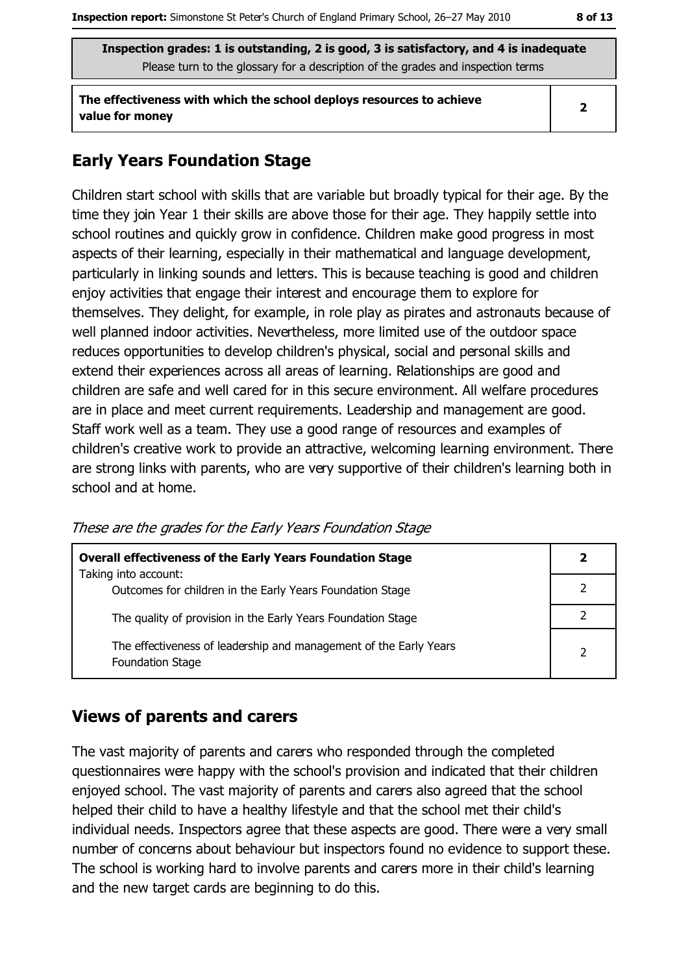The effectiveness with which the school deploys resources to achieve value for money

 $\overline{2}$ 

#### **Early Years Foundation Stage**

Children start school with skills that are variable but broadly typical for their age. By the time they join Year 1 their skills are above those for their age. They happily settle into school routines and quickly grow in confidence. Children make good progress in most aspects of their learning, especially in their mathematical and language development, particularly in linking sounds and letters. This is because teaching is good and children enjoy activities that engage their interest and encourage them to explore for themselves. They delight, for example, in role play as pirates and astronauts because of well planned indoor activities. Nevertheless, more limited use of the outdoor space reduces opportunities to develop children's physical, social and personal skills and extend their experiences across all areas of learning. Relationships are good and children are safe and well cared for in this secure environment. All welfare procedures are in place and meet current requirements. Leadership and management are good. Staff work well as a team. They use a good range of resources and examples of children's creative work to provide an attractive, welcoming learning environment. There are strong links with parents, who are very supportive of their children's learning both in school and at home.

| <b>Overall effectiveness of the Early Years Foundation Stage</b><br>Taking into account:     |  |
|----------------------------------------------------------------------------------------------|--|
| Outcomes for children in the Early Years Foundation Stage                                    |  |
| The quality of provision in the Early Years Foundation Stage                                 |  |
| The effectiveness of leadership and management of the Early Years<br><b>Foundation Stage</b> |  |

These are the grades for the Early Years Foundation Stage

#### **Views of parents and carers**

The vast majority of parents and carers who responded through the completed questionnaires were happy with the school's provision and indicated that their children enjoyed school. The vast majority of parents and carers also agreed that the school helped their child to have a healthy lifestyle and that the school met their child's individual needs. Inspectors agree that these aspects are good. There were a very small number of concerns about behaviour but inspectors found no evidence to support these. The school is working hard to involve parents and carers more in their child's learning and the new target cards are beginning to do this.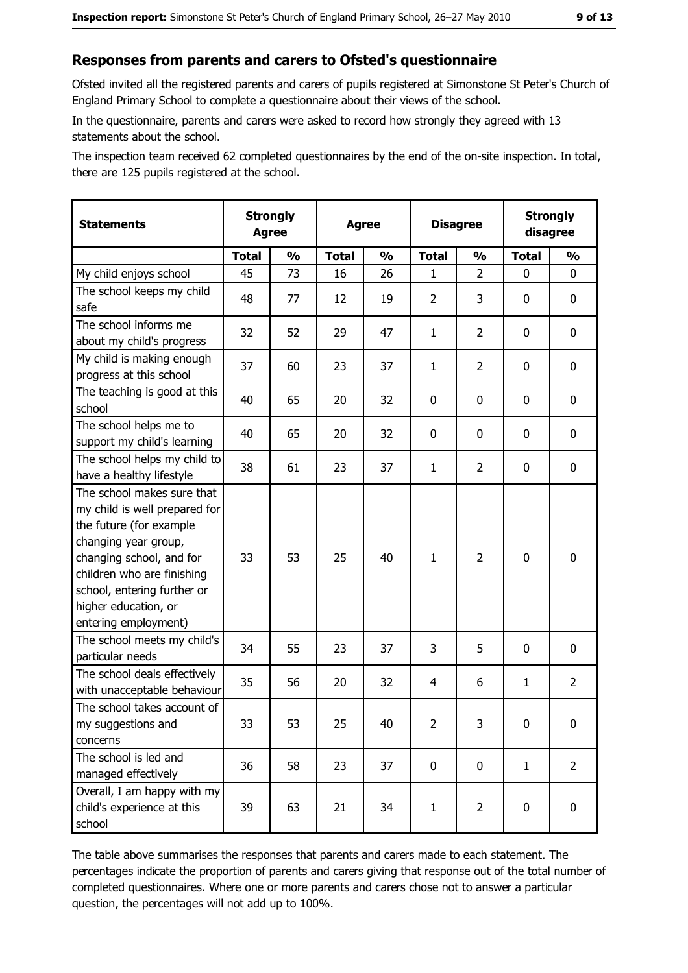#### Responses from parents and carers to Ofsted's questionnaire

Ofsted invited all the registered parents and carers of pupils registered at Simonstone St Peter's Church of England Primary School to complete a questionnaire about their views of the school.

In the questionnaire, parents and carers were asked to record how strongly they agreed with 13 statements about the school.

The inspection team received 62 completed questionnaires by the end of the on-site inspection. In total, there are 125 pupils registered at the school.

| <b>Statements</b>                                                                                                                                                                                                                                       | <b>Strongly</b><br><b>Agree</b> |               |              | <b>Agree</b>  |                | <b>Disagree</b> |              | <b>Strongly</b><br>disagree |
|---------------------------------------------------------------------------------------------------------------------------------------------------------------------------------------------------------------------------------------------------------|---------------------------------|---------------|--------------|---------------|----------------|-----------------|--------------|-----------------------------|
|                                                                                                                                                                                                                                                         | <b>Total</b>                    | $\frac{1}{2}$ | <b>Total</b> | $\frac{0}{0}$ | <b>Total</b>   | $\frac{1}{2}$   | <b>Total</b> | $\frac{1}{2}$               |
| My child enjoys school                                                                                                                                                                                                                                  | 45                              | 73            | 16           | 26            | 1              | $\overline{2}$  | 0            | 0                           |
| The school keeps my child<br>safe                                                                                                                                                                                                                       | 48                              | 77            | 12           | 19            | $\overline{2}$ | 3               | 0            | $\mathbf 0$                 |
| The school informs me<br>about my child's progress                                                                                                                                                                                                      | 32                              | 52            | 29           | 47            | $\mathbf{1}$   | $\overline{2}$  | 0            | 0                           |
| My child is making enough<br>progress at this school                                                                                                                                                                                                    | 37                              | 60            | 23           | 37            | $\mathbf{1}$   | $\overline{2}$  | 0            | 0                           |
| The teaching is good at this<br>school                                                                                                                                                                                                                  | 40                              | 65            | 20           | 32            | 0              | 0               | 0            | 0                           |
| The school helps me to<br>support my child's learning                                                                                                                                                                                                   | 40                              | 65            | 20           | 32            | $\mathbf 0$    | 0               | 0            | 0                           |
| The school helps my child to<br>have a healthy lifestyle                                                                                                                                                                                                | 38                              | 61            | 23           | 37            | $\mathbf{1}$   | $\overline{2}$  | 0            | $\mathbf 0$                 |
| The school makes sure that<br>my child is well prepared for<br>the future (for example<br>changing year group,<br>changing school, and for<br>children who are finishing<br>school, entering further or<br>higher education, or<br>entering employment) | 33                              | 53            | 25           | 40            | $\mathbf{1}$   | $\overline{2}$  | $\mathbf 0$  | $\mathbf 0$                 |
| The school meets my child's<br>particular needs                                                                                                                                                                                                         | 34                              | 55            | 23           | 37            | 3              | 5               | 0            | 0                           |
| The school deals effectively<br>with unacceptable behaviour                                                                                                                                                                                             | 35                              | 56            | 20           | 32            | $\overline{4}$ | 6               | $\mathbf{1}$ | $\overline{2}$              |
| The school takes account of<br>my suggestions and<br>concerns                                                                                                                                                                                           | 33                              | 53            | 25           | 40            | $\overline{2}$ | 3               | 0            | $\boldsymbol{0}$            |
| The school is led and<br>managed effectively                                                                                                                                                                                                            | 36                              | 58            | 23           | 37            | $\mathbf 0$    | 0               | $\mathbf{1}$ | $\overline{2}$              |
| Overall, I am happy with my<br>child's experience at this<br>school                                                                                                                                                                                     | 39                              | 63            | 21           | 34            | $\mathbf{1}$   | $\overline{2}$  | $\mathbf 0$  | 0                           |

The table above summarises the responses that parents and carers made to each statement. The percentages indicate the proportion of parents and carers giving that response out of the total number of completed questionnaires. Where one or more parents and carers chose not to answer a particular question, the percentages will not add up to 100%.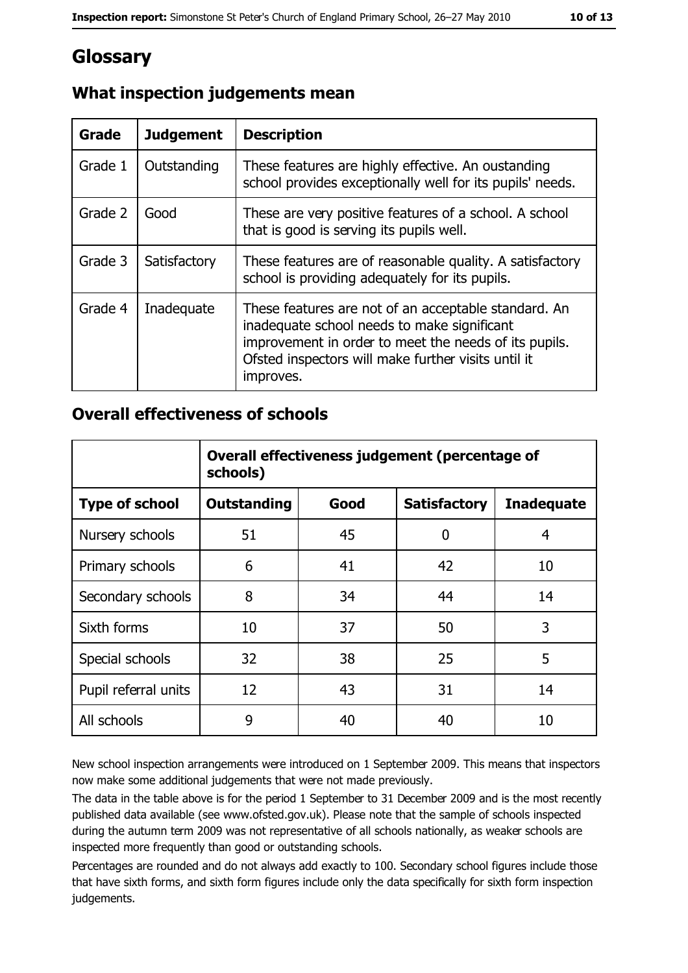## Glossary

| Grade   | <b>Judgement</b> | <b>Description</b>                                                                                                                                                                                                               |
|---------|------------------|----------------------------------------------------------------------------------------------------------------------------------------------------------------------------------------------------------------------------------|
| Grade 1 | Outstanding      | These features are highly effective. An oustanding<br>school provides exceptionally well for its pupils' needs.                                                                                                                  |
| Grade 2 | Good             | These are very positive features of a school. A school<br>that is good is serving its pupils well.                                                                                                                               |
| Grade 3 | Satisfactory     | These features are of reasonable quality. A satisfactory<br>school is providing adequately for its pupils.                                                                                                                       |
| Grade 4 | Inadequate       | These features are not of an acceptable standard. An<br>inadequate school needs to make significant<br>improvement in order to meet the needs of its pupils.<br>Ofsted inspectors will make further visits until it<br>improves. |

## What inspection judgements mean

#### **Overall effectiveness of schools**

|                       | Overall effectiveness judgement (percentage of<br>schools) |      |                     |                   |  |
|-----------------------|------------------------------------------------------------|------|---------------------|-------------------|--|
| <b>Type of school</b> | <b>Outstanding</b>                                         | Good | <b>Satisfactory</b> | <b>Inadequate</b> |  |
| Nursery schools       | 51                                                         | 45   | 0                   | 4                 |  |
| Primary schools       | 6                                                          | 41   | 42                  | 10                |  |
| Secondary schools     | 8                                                          | 34   | 44                  | 14                |  |
| Sixth forms           | 10                                                         | 37   | 50                  | 3                 |  |
| Special schools       | 32                                                         | 38   | 25                  | 5                 |  |
| Pupil referral units  | 12                                                         | 43   | 31                  | 14                |  |
| All schools           | 9                                                          | 40   | 40                  | 10                |  |

New school inspection arrangements were introduced on 1 September 2009. This means that inspectors now make some additional judgements that were not made previously.

The data in the table above is for the period 1 September to 31 December 2009 and is the most recently published data available (see www.ofsted.gov.uk). Please note that the sample of schools inspected during the autumn term 2009 was not representative of all schools nationally, as weaker schools are inspected more frequently than good or outstanding schools.

Percentages are rounded and do not always add exactly to 100. Secondary school figures include those that have sixth forms, and sixth form figures include only the data specifically for sixth form inspection judgements.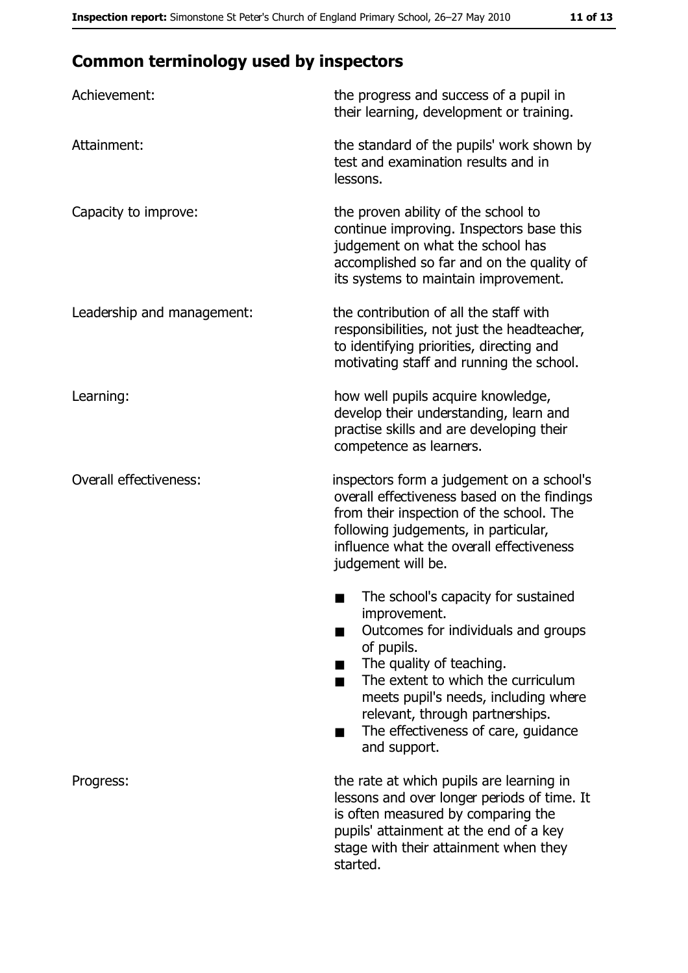## **Common terminology used by inspectors**

| Achievement:                  | the progress and success of a pupil in<br>their learning, development or training.                                                                                                                                                                                                                           |
|-------------------------------|--------------------------------------------------------------------------------------------------------------------------------------------------------------------------------------------------------------------------------------------------------------------------------------------------------------|
| Attainment:                   | the standard of the pupils' work shown by<br>test and examination results and in<br>lessons.                                                                                                                                                                                                                 |
| Capacity to improve:          | the proven ability of the school to<br>continue improving. Inspectors base this<br>judgement on what the school has<br>accomplished so far and on the quality of<br>its systems to maintain improvement.                                                                                                     |
| Leadership and management:    | the contribution of all the staff with<br>responsibilities, not just the headteacher,<br>to identifying priorities, directing and<br>motivating staff and running the school.                                                                                                                                |
| Learning:                     | how well pupils acquire knowledge,<br>develop their understanding, learn and<br>practise skills and are developing their<br>competence as learners.                                                                                                                                                          |
| <b>Overall effectiveness:</b> | inspectors form a judgement on a school's<br>overall effectiveness based on the findings<br>from their inspection of the school. The<br>following judgements, in particular,<br>influence what the overall effectiveness<br>judgement will be.                                                               |
|                               | The school's capacity for sustained<br>improvement.<br>Outcomes for individuals and groups<br>of pupils.<br>The quality of teaching.<br>The extent to which the curriculum<br>meets pupil's needs, including where<br>relevant, through partnerships.<br>The effectiveness of care, guidance<br>and support. |
| Progress:                     | the rate at which pupils are learning in<br>lessons and over longer periods of time. It<br>is often measured by comparing the<br>pupils' attainment at the end of a key<br>stage with their attainment when they<br>started.                                                                                 |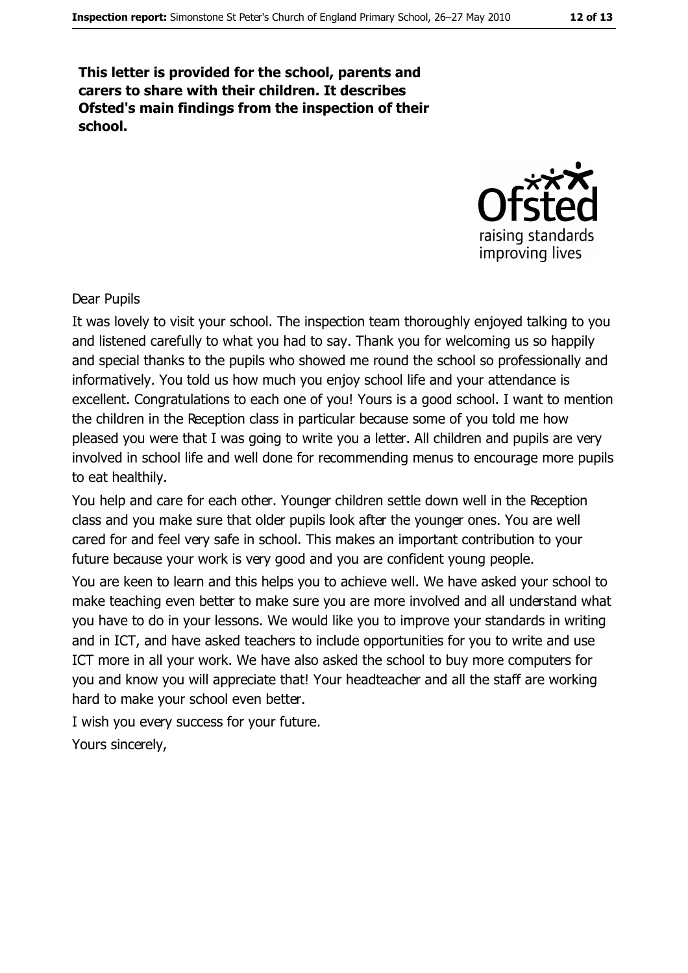This letter is provided for the school, parents and carers to share with their children. It describes Ofsted's main findings from the inspection of their school.



Dear Pupils

It was lovely to visit your school. The inspection team thoroughly enjoyed talking to you and listened carefully to what you had to say. Thank you for welcoming us so happily and special thanks to the pupils who showed me round the school so professionally and informatively. You told us how much you enjoy school life and your attendance is excellent. Congratulations to each one of you! Yours is a good school. I want to mention the children in the Reception class in particular because some of you told me how pleased you were that I was going to write you a letter. All children and pupils are very involved in school life and well done for recommending menus to encourage more pupils to eat healthily.

You help and care for each other. Younger children settle down well in the Reception class and you make sure that older pupils look after the younger ones. You are well cared for and feel very safe in school. This makes an important contribution to your future because your work is very good and you are confident young people.

You are keen to learn and this helps you to achieve well. We have asked your school to make teaching even better to make sure you are more involved and all understand what you have to do in your lessons. We would like you to improve your standards in writing and in ICT, and have asked teachers to include opportunities for you to write and use ICT more in all your work. We have also asked the school to buy more computers for you and know you will appreciate that! Your headteacher and all the staff are working hard to make your school even better.

I wish you every success for your future. Yours sincerely,